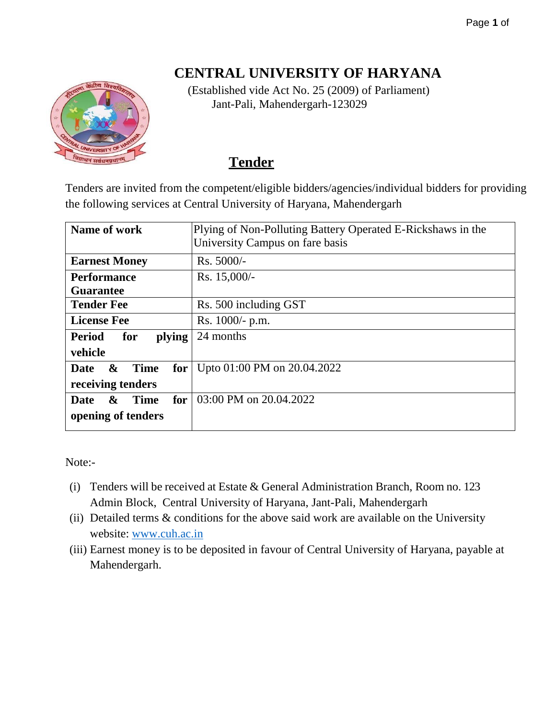#### Page **1** of

# **CENTRAL UNIVERSITY OF HARYANA**



(Established vide Act No. 25 (2009) of Parliament) Jant-Pali, Mahendergarh-123029

# **Tender**

Tenders are invited from the competent/eligible bidders/agencies/individual bidders for providing the following services at Central University of Haryana, Mahendergarh

| Name of work                                             | Plying of Non-Polluting Battery Operated E-Rickshaws in the<br>University Campus on fare basis |  |
|----------------------------------------------------------|------------------------------------------------------------------------------------------------|--|
| <b>Earnest Money</b>                                     | Rs. 5000/-                                                                                     |  |
| <b>Performance</b>                                       | Rs. 15,000/-                                                                                   |  |
| <b>Guarantee</b>                                         |                                                                                                |  |
| <b>Tender Fee</b>                                        | Rs. 500 including GST                                                                          |  |
| <b>License Fee</b>                                       | Rs. 1000/- p.m.                                                                                |  |
| plying<br><b>Period</b><br>for                           | 24 months                                                                                      |  |
| vehicle                                                  |                                                                                                |  |
| $\mathbf{\&}$<br><b>Time</b><br>for <sub>1</sub><br>Date | Upto 01:00 PM on 20.04.2022                                                                    |  |
| receiving tenders                                        |                                                                                                |  |
| <b>Time</b><br>for<br>$\boldsymbol{\alpha}$<br>Date      | 03:00 PM on 20.04.2022                                                                         |  |
| opening of tenders                                       |                                                                                                |  |

Note:-

- (i) Tenders will be received at Estate & General Administration Branch, Room no. 123 Admin Block, Central University of Haryana, Jant-Pali, Mahendergarh
- (ii) Detailed terms & conditions for the above said work are available on the University website: [www.cuh.ac.in](http://www.cuh.ac.in/)
- (iii) Earnest money is to be deposited in favour of Central University of Haryana, payable at Mahendergarh.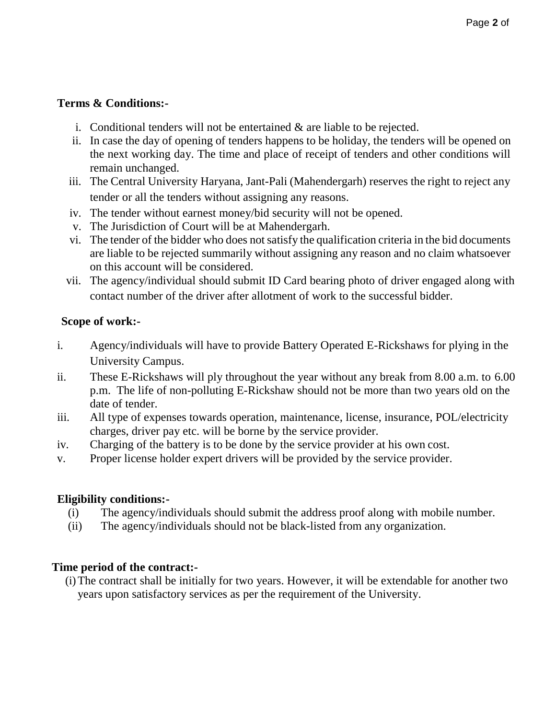## **Terms & Conditions:-**

- i. Conditional tenders will not be entertained  $\&$  are liable to be rejected.
- ii. In case the day of opening of tenders happens to be holiday, the tenders will be opened on the next working day. The time and place of receipt of tenders and other conditions will remain unchanged.
- iii. The Central University Haryana, Jant-Pali (Mahendergarh) reserves the right to reject any tender or all the tenders without assigning any reasons.
- iv. The tender without earnest money/bid security will not be opened.
- v. The Jurisdiction of Court will be at Mahendergarh.
- vi. The tender of the bidder who does notsatisfy the qualification criteria in the bid documents are liable to be rejected summarily without assigning any reason and no claim whatsoever on this account will be considered.
- vii. The agency/individual should submit ID Card bearing photo of driver engaged along with contact number of the driver after allotment of work to the successful bidder.

### **Scope of work:-**

- i. Agency/individuals will have to provide Battery Operated E-Rickshaws for plying in the University Campus.
- ii. These E-Rickshaws will ply throughout the year without any break from 8.00 a.m. to 6.00 p.m. The life of non-polluting E-Rickshaw should not be more than two years old on the date of tender.
- iii. All type of expenses towards operation, maintenance, license, insurance, POL/electricity charges, driver pay etc. will be borne by the service provider.
- iv. Charging of the battery is to be done by the service provider at his own cost.
- v. Proper license holder expert drivers will be provided by the service provider.

# **Eligibility conditions:-**

- (i) The agency/individuals should submit the address proof along with mobile number.
- (ii) The agency/individuals should not be black-listed from any organization.

# **Time period of the contract:-**

(i)The contract shall be initially for two years. However, it will be extendable for another two years upon satisfactory services as per the requirement of the University.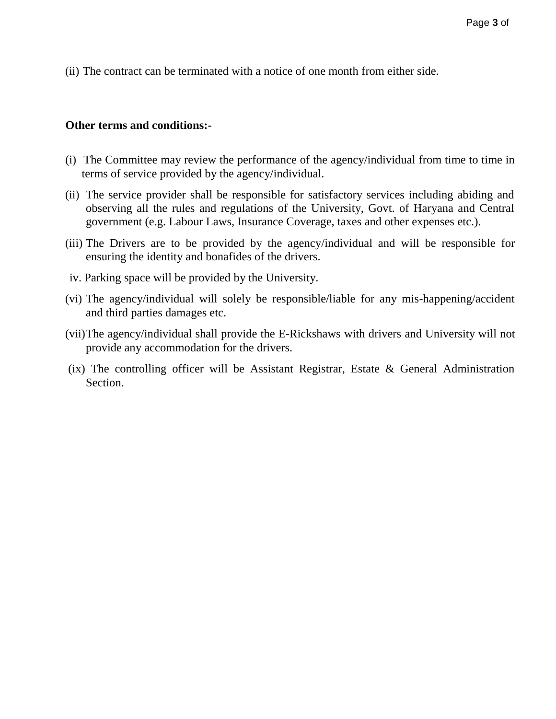(ii) The contract can be terminated with a notice of one month from either side.

#### **Other terms and conditions:-**

- (i) The Committee may review the performance of the agency/individual from time to time in terms of service provided by the agency/individual.
- (ii) The service provider shall be responsible for satisfactory services including abiding and observing all the rules and regulations of the University, Govt. of Haryana and Central government (e.g. Labour Laws, Insurance Coverage, taxes and other expenses etc.).
- (iii) The Drivers are to be provided by the agency/individual and will be responsible for ensuring the identity and bonafides of the drivers.
- iv. Parking space will be provided by the University.
- (vi) The agency/individual will solely be responsible/liable for any mis-happening/accident and third parties damages etc.
- (vii)The agency/individual shall provide the E-Rickshaws with drivers and University will not provide any accommodation for the drivers.
- (ix) The controlling officer will be Assistant Registrar, Estate & General Administration Section.